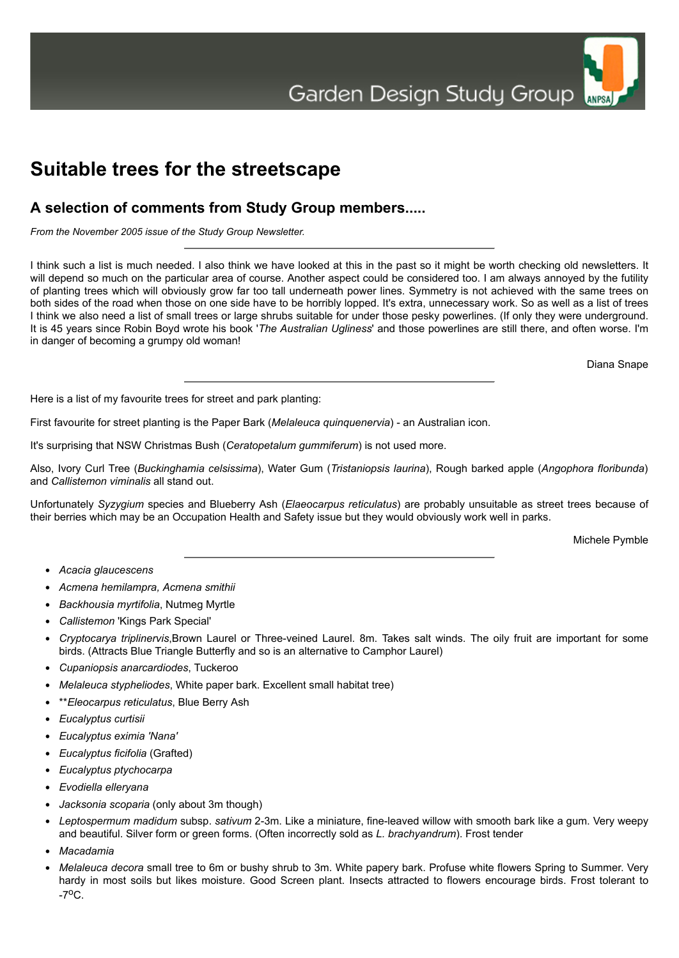# **Suitable trees for the streetscape**

# **A selection of comments from Study Group members.....**

*From the November 2005 issue of the Study Group Newsletter.*

I think such a list is much needed. I also think we have looked at this in the past so it might be worth checking old newsletters. It will depend so much on the particular area of course. Another aspect could be considered too. I am always annoyed by the futility of planting trees which will obviously grow far too tall underneath power lines. Symmetry is not achieved with the same trees on both sides of the road when those on one side have to be horribly lopped. It's extra, unnecessary work. So as well as a list of trees I think we also need a list of small trees or large shrubs suitable for under those pesky powerlines. (If only they were underground. It is 45 years since Robin Boyd wrote his book '*The Australian Ugliness*' and those powerlines are still there, and often worse. I'm in danger of becoming a grumpy old woman!

Diana Snape

ANPSA

Here is a list of my favourite trees for street and park planting:

First favourite for street planting is the Paper Bark (*Melaleuca quinquenervia*) - an Australian icon.

It's surprising that NSW Christmas Bush (*Ceratopetalum gummiferum*) is not used more.

Also, Ivory Curl Tree (*Buckinghamia celsissima*), Water Gum (*Tristaniopsis laurina*), Rough barked apple (*Angophora floribunda*) and *Callistemon viminalis* all stand out.

Unfortunately *Syzygium* species and Blueberry Ash (*Elaeocarpus reticulatus*) are probably unsuitable as street trees because of their berries which may be an Occupation Health and Safety issue but they would obviously work well in parks.

Michele Pymble

- *Acacia glaucescens*
- *Acmena hemilampra, Acmena smithii*
- *Backhousia myrtifolia*, Nutmeg Myrtle
- *Callistemon* 'Kings Park Special'
- *Cryptocarya triplinervis*,Brown Laurel or Three-veined Laurel. 8m. Takes salt winds. The oily fruit are important for some birds. (Attracts Blue Triangle Butterfly and so is an alternative to Camphor Laurel)
- *Cupaniopsis anarcardiodes*, Tuckeroo
- *Melaleuca stypheliodes*, White paper bark. Excellent small habitat tree)
- \*\**Eleocarpus reticulatus*, Blue Berry Ash
- *Eucalyptus curtisii*
- *Eucalyptus eximia 'Nana'*
- *Eucalyptus ficifolia* (Grafted)
- *Eucalyptus ptychocarpa*
- *Evodiella elleryana*
- *Jacksonia scoparia* (only about 3m though)
- *Leptospermum madidum* subsp. *sativum* 2-3m. Like a miniature, fine-leaved willow with smooth bark like a gum. Very weepy and beautiful. Silver form or green forms. (Often incorrectly sold as *L. brachyandrum*). Frost tender
- *Macadamia*
- *Melaleuca decora* small tree to 6m or bushy shrub to 3m. White papery bark. Profuse white flowers Spring to Summer. Very hardy in most soils but likes moisture. Good Screen plant. Insects attracted to flowers encourage birds. Frost tolerant to  $-7^{\circ}$ C.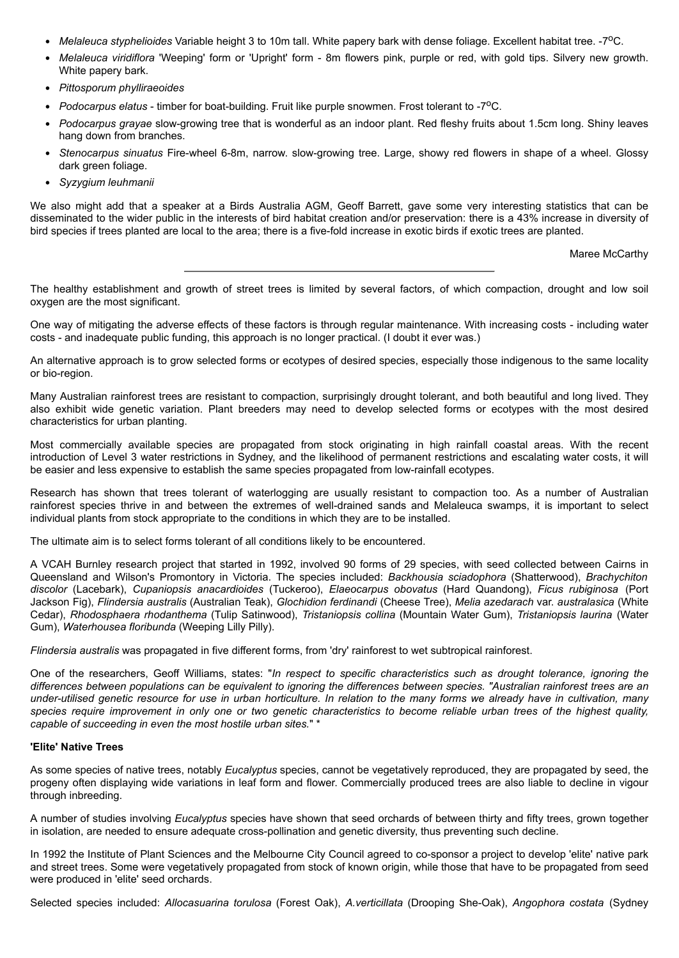- *Melaleuca styphelioides* Variable height 3 to 10m tall. White papery bark with dense foliage. Excellent habitat tree. -7oC.
- *Melaleuca viridiflora* 'Weeping' form or 'Upright' form 8m flowers pink, purple or red, with gold tips. Silvery new growth. White papery bark.
- *Pittosporum phylliraeoides*
- *Podocarpus elatus* timber for boat-building. Fruit like purple snowmen. Frost tolerant to -7°C.
- *Podocarpus grayae* slow-growing tree that is wonderful as an indoor plant. Red fleshy fruits about 1.5cm long. Shiny leaves hang down from branches.
- *Stenocarpus sinuatus* Fire-wheel 6-8m, narrow. slow-growing tree. Large, showy red flowers in shape of a wheel. Glossy dark green foliage.
- *Syzygium leuhmanii*

We also might add that a speaker at a Birds Australia AGM, Geoff Barrett, gave some very interesting statistics that can be disseminated to the wider public in the interests of bird habitat creation and/or preservation: there is a 43% increase in diversity of bird species if trees planted are local to the area; there is a five-fold increase in exotic birds if exotic trees are planted.

Maree McCarthy

The healthy establishment and growth of street trees is limited by several factors, of which compaction, drought and low soil oxygen are the most significant.

One way of mitigating the adverse effects of these factors is through regular maintenance. With increasing costs - including water costs - and inadequate public funding, this approach is no longer practical. (I doubt it ever was.)

An alternative approach is to grow selected forms or ecotypes of desired species, especially those indigenous to the same locality or bio-region.

Many Australian rainforest trees are resistant to compaction, surprisingly drought tolerant, and both beautiful and long lived. They also exhibit wide genetic variation. Plant breeders may need to develop selected forms or ecotypes with the most desired characteristics for urban planting.

Most commercially available species are propagated from stock originating in high rainfall coastal areas. With the recent introduction of Level 3 water restrictions in Sydney, and the likelihood of permanent restrictions and escalating water costs, it will be easier and less expensive to establish the same species propagated from low-rainfall ecotypes.

Research has shown that trees tolerant of waterlogging are usually resistant to compaction too. As a number of Australian rainforest species thrive in and between the extremes of well-drained sands and Melaleuca swamps, it is important to select individual plants from stock appropriate to the conditions in which they are to be installed.

The ultimate aim is to select forms tolerant of all conditions likely to be encountered.

A VCAH Burnley research project that started in 1992, involved 90 forms of 29 species, with seed collected between Cairns in Queensland and Wilson's Promontory in Victoria. The species included: *Backhousia sciadophora* (Shatterwood), *Brachychiton discolor* (Lacebark), *Cupaniopsis anacardioides* (Tuckeroo), *Elaeocarpus obovatus* (Hard Quandong), *Ficus rubiginosa* (Port Jackson Fig), *Flindersia australis* (Australian Teak), *Glochidion ferdinandi* (Cheese Tree), *Melia azedarach* var. *australasica* (White Cedar), *Rhodosphaera rhodanthema* (Tulip Satinwood), *Tristaniopsis collina* (Mountain Water Gum), *Tristaniopsis laurina* (Water Gum), *Waterhousea floribunda* (Weeping Lilly Pilly).

*Flindersia australis* was propagated in five different forms, from 'dry' rainforest to wet subtropical rainforest.

One of the researchers, Geoff Williams, states: "*In respect to specific characteristics such as drought tolerance, ignoring the differences between populations can be equivalent to ignoring the differences between species. "Australian rainforest trees are an under-utilised genetic resource for use in urban horticulture. In relation to the many forms we already have in cultivation, many species require improvement in only one or two genetic characteristics to become reliable urban trees of the highest quality, capable of succeeding in even the most hostile urban sites.*" \*

## **'Elite' Native Trees**

As some species of native trees, notably *Eucalyptus* species, cannot be vegetatively reproduced, they are propagated by seed, the progeny often displaying wide variations in leaf form and flower. Commercially produced trees are also liable to decline in vigour through inbreeding.

A number of studies involving *Eucalyptus* species have shown that seed orchards of between thirty and fifty trees, grown together in isolation, are needed to ensure adequate cross-pollination and genetic diversity, thus preventing such decline.

In 1992 the Institute of Plant Sciences and the Melbourne City Council agreed to co-sponsor a project to develop 'elite' native park and street trees. Some were vegetatively propagated from stock of known origin, while those that have to be propagated from seed were produced in 'elite' seed orchards.

Selected species included: *Allocasuarina torulosa* (Forest Oak), *A.verticillata* (Drooping She-Oak), *Angophora costata* (Sydney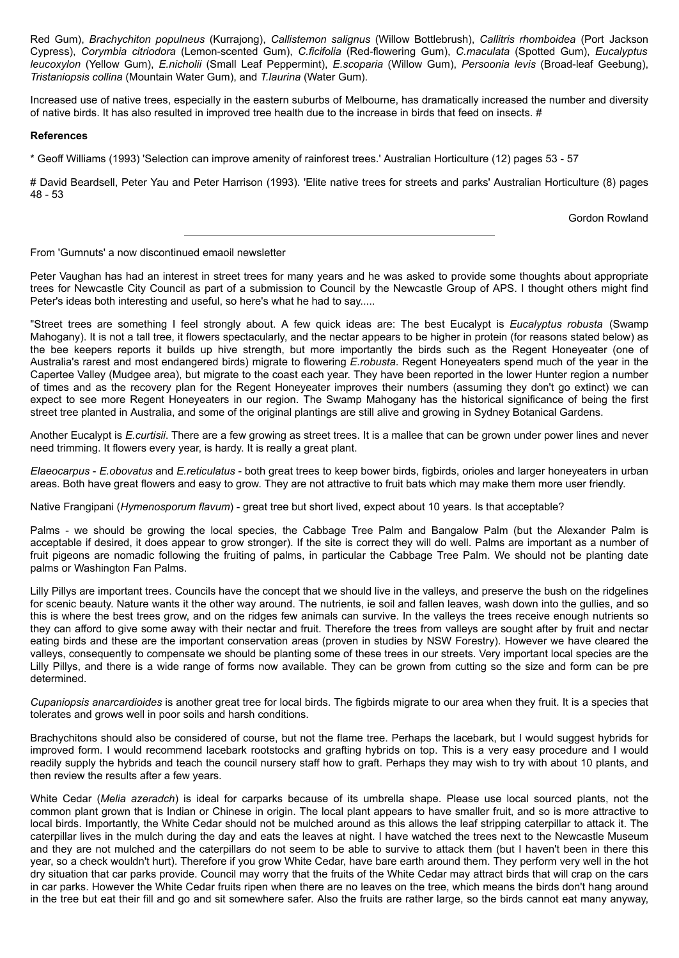Red Gum), *Brachychiton populneus* (Kurrajong), *Callistemon salignus* (Willow Bottlebrush), *Callitris rhomboidea* (Port Jackson Cypress), *Corymbia citriodora* (Lemon-scented Gum), *C.ficifolia* (Red-flowering Gum), *C.maculata* (Spotted Gum), *Eucalyptus leucoxylon* (Yellow Gum), *E.nicholii* (Small Leaf Peppermint), *E.scoparia* (Willow Gum), *Persoonia levis* (Broad-leaf Geebung), *Tristaniopsis collina* (Mountain Water Gum), and *T.laurina* (Water Gum).

Increased use of native trees, especially in the eastern suburbs of Melbourne, has dramatically increased the number and diversity of native birds. It has also resulted in improved tree health due to the increase in birds that feed on insects. #

### **References**

\* Geoff Williams (1993) 'Selection can improve amenity of rainforest trees.' Australian Horticulture (12) pages 53 - 57

# David Beardsell, Peter Yau and Peter Harrison (1993). 'Elite native trees for streets and parks' Australian Horticulture (8) pages 48 - 53

Gordon Rowland

#### From 'Gumnuts' a now discontinued emaoil newsletter

Peter Vaughan has had an interest in street trees for many years and he was asked to provide some thoughts about appropriate trees for Newcastle City Council as part of a submission to Council by the Newcastle Group of APS. I thought others might find Peter's ideas both interesting and useful, so here's what he had to say.....

"Street trees are something I feel strongly about. A few quick ideas are: The best Eucalypt is *Eucalyptus robusta* (Swamp Mahogany). It is not a tall tree, it flowers spectacularly, and the nectar appears to be higher in protein (for reasons stated below) as the bee keepers reports it builds up hive strength, but more importantly the birds such as the Regent Honeyeater (one of Australia's rarest and most endangered birds) migrate to flowering *E.robusta*. Regent Honeyeaters spend much of the year in the Capertee Valley (Mudgee area), but migrate to the coast each year. They have been reported in the lower Hunter region a number of times and as the recovery plan for the Regent Honeyeater improves their numbers (assuming they don't go extinct) we can expect to see more Regent Honeyeaters in our region. The Swamp Mahogany has the historical significance of being the first street tree planted in Australia, and some of the original plantings are still alive and growing in Sydney Botanical Gardens.

Another Eucalypt is *E.curtisii*. There are a few growing as street trees. It is a mallee that can be grown under power lines and never need trimming. It flowers every year, is hardy. It is really a great plant.

*Elaeocarpus* - *E.obovatus* and *E.reticulatus* - both great trees to keep bower birds, figbirds, orioles and larger honeyeaters in urban areas. Both have great flowers and easy to grow. They are not attractive to fruit bats which may make them more user friendly.

Native Frangipani (*Hymenosporum flavum*) - great tree but short lived, expect about 10 years. Is that acceptable?

Palms - we should be growing the local species, the Cabbage Tree Palm and Bangalow Palm (but the Alexander Palm is acceptable if desired, it does appear to grow stronger). If the site is correct they will do well. Palms are important as a number of fruit pigeons are nomadic following the fruiting of palms, in particular the Cabbage Tree Palm. We should not be planting date palms or Washington Fan Palms.

Lilly Pillys are important trees. Councils have the concept that we should live in the valleys, and preserve the bush on the ridgelines for scenic beauty. Nature wants it the other way around. The nutrients, ie soil and fallen leaves, wash down into the gullies, and so this is where the best trees grow, and on the ridges few animals can survive. In the valleys the trees receive enough nutrients so they can afford to give some away with their nectar and fruit. Therefore the trees from valleys are sought after by fruit and nectar eating birds and these are the important conservation areas (proven in studies by NSW Forestry). However we have cleared the valleys, consequently to compensate we should be planting some of these trees in our streets. Very important local species are the Lilly Pillys, and there is a wide range of forms now available. They can be grown from cutting so the size and form can be pre determined.

*Cupaniopsis anarcardioides* is another great tree for local birds. The figbirds migrate to our area when they fruit. It is a species that tolerates and grows well in poor soils and harsh conditions.

Brachychitons should also be considered of course, but not the flame tree. Perhaps the lacebark, but I would suggest hybrids for improved form. I would recommend lacebark rootstocks and grafting hybrids on top. This is a very easy procedure and I would readily supply the hybrids and teach the council nursery staff how to graft. Perhaps they may wish to try with about 10 plants, and then review the results after a few years.

White Cedar (*Melia azeradch*) is ideal for carparks because of its umbrella shape. Please use local sourced plants, not the common plant grown that is Indian or Chinese in origin. The local plant appears to have smaller fruit, and so is more attractive to local birds. Importantly, the White Cedar should not be mulched around as this allows the leaf stripping caterpillar to attack it. The caterpillar lives in the mulch during the day and eats the leaves at night. I have watched the trees next to the Newcastle Museum and they are not mulched and the caterpillars do not seem to be able to survive to attack them (but I haven't been in there this year, so a check wouldn't hurt). Therefore if you grow White Cedar, have bare earth around them. They perform very well in the hot dry situation that car parks provide. Council may worry that the fruits of the White Cedar may attract birds that will crap on the cars in car parks. However the White Cedar fruits ripen when there are no leaves on the tree, which means the birds don't hang around in the tree but eat their fill and go and sit somewhere safer. Also the fruits are rather large, so the birds cannot eat many anyway,